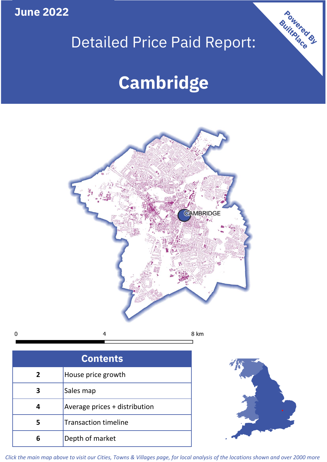**June 2022**

 $\mathbf 0$ 

## Detailed Price Paid Report:

# **Cambridge**



| <b>Contents</b> |                               |  |  |
|-----------------|-------------------------------|--|--|
| 2               | House price growth            |  |  |
|                 | Sales map                     |  |  |
|                 | Average prices + distribution |  |  |
| 5               | <b>Transaction timeline</b>   |  |  |
| ĥ               | Depth of market               |  |  |



Powered By

*Click the main map above to visit our Cities, Towns & Villages page, for local analysis of the locations shown and over 2000 more*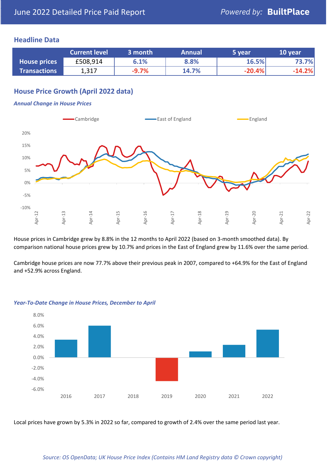#### **Headline Data**

|                     | <b>Current level</b> | 3 month | <b>Annual</b> | 5 year   | 10 year  |
|---------------------|----------------------|---------|---------------|----------|----------|
| <b>House prices</b> | £508,914             | 6.1%    | 8.8%          | 16.5%    | 73.7%    |
| <b>Transactions</b> | 1,317                | $-9.7%$ | 14.7%         | $-20.4%$ | $-14.2%$ |

## **House Price Growth (April 2022 data)**

#### *Annual Change in House Prices*



House prices in Cambridge grew by 8.8% in the 12 months to April 2022 (based on 3-month smoothed data). By comparison national house prices grew by 10.7% and prices in the East of England grew by 11.6% over the same period.

Cambridge house prices are now 77.7% above their previous peak in 2007, compared to +64.9% for the East of England and +52.9% across England.



#### *Year-To-Date Change in House Prices, December to April*

Local prices have grown by 5.3% in 2022 so far, compared to growth of 2.4% over the same period last year.

#### *Source: OS OpenData; UK House Price Index (Contains HM Land Registry data © Crown copyright)*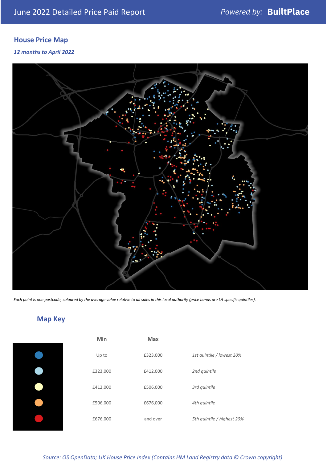## **House Price Map**

*12 months to April 2022*



*Each point is one postcode, coloured by the average value relative to all sales in this local authority (price bands are LA-specific quintiles).*

## **Map Key**

| Up to   |
|---------|
| £323,00 |
| £412,00 |
| £506,00 |
| £676,00 |
|         |

| Min      | <b>Max</b> |                            |
|----------|------------|----------------------------|
| Up to    | £323,000   | 1st quintile / lowest 20%  |
| £323,000 | £412,000   | 2nd quintile               |
| £412,000 | £506,000   | 3rd quintile               |
| £506,000 | £676,000   | 4th quintile               |
| £676,000 | and over   | 5th quintile / highest 20% |

#### *Source: OS OpenData; UK House Price Index (Contains HM Land Registry data © Crown copyright)*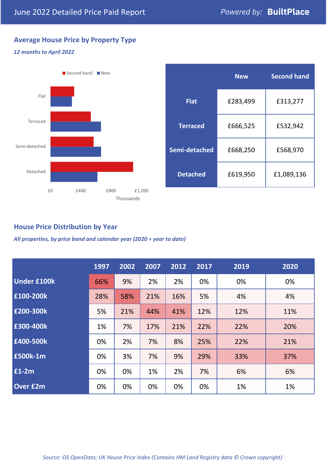## **Average House Price by Property Type**

## *12 months to April 2022*



|                 | <b>New</b> | <b>Second hand</b> |  |  |
|-----------------|------------|--------------------|--|--|
| <b>Flat</b>     | £283,499   | £313,277           |  |  |
| <b>Terraced</b> | £666,525   | £532,942           |  |  |
| Semi-detached   | £668,250   | £568,970           |  |  |
| <b>Detached</b> | £619,950   | £1,089,136         |  |  |

### **House Price Distribution by Year**

*All properties, by price band and calendar year (2020 = year to date)*

|                    | 1997 | 2002 | 2007 | 2012 | 2017 | 2019 | 2020 |
|--------------------|------|------|------|------|------|------|------|
| <b>Under £100k</b> | 66%  | 9%   | 2%   | 2%   | 0%   | 0%   | 0%   |
| £100-200k          | 28%  | 58%  | 21%  | 16%  | 5%   | 4%   | 4%   |
| E200-300k          | 5%   | 21%  | 44%  | 41%  | 12%  | 12%  | 11%  |
| £300-400k          | 1%   | 7%   | 17%  | 21%  | 22%  | 22%  | 20%  |
| £400-500k          | 0%   | 2%   | 7%   | 8%   | 25%  | 22%  | 21%  |
| <b>£500k-1m</b>    | 0%   | 3%   | 7%   | 9%   | 29%  | 33%  | 37%  |
| £1-2m              | 0%   | 0%   | 1%   | 2%   | 7%   | 6%   | 6%   |
| <b>Over £2m</b>    | 0%   | 0%   | 0%   | 0%   | 0%   | 1%   | 1%   |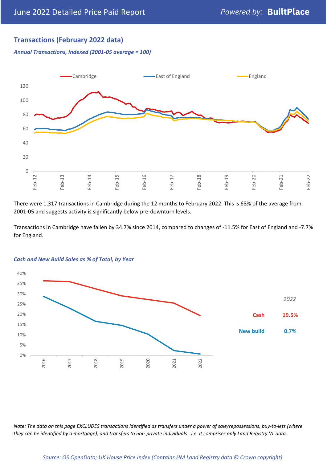## **Transactions (February 2022 data)**

*Annual Transactions, Indexed (2001-05 average = 100)*



There were 1,317 transactions in Cambridge during the 12 months to February 2022. This is 68% of the average from 2001-05 and suggests activity is significantly below pre-downturn levels.

Transactions in Cambridge have fallen by 34.7% since 2014, compared to changes of -11.5% for East of England and -7.7% for England.



#### *Cash and New Build Sales as % of Total, by Year*

*Note: The data on this page EXCLUDES transactions identified as transfers under a power of sale/repossessions, buy-to-lets (where they can be identified by a mortgage), and transfers to non-private individuals - i.e. it comprises only Land Registry 'A' data.*